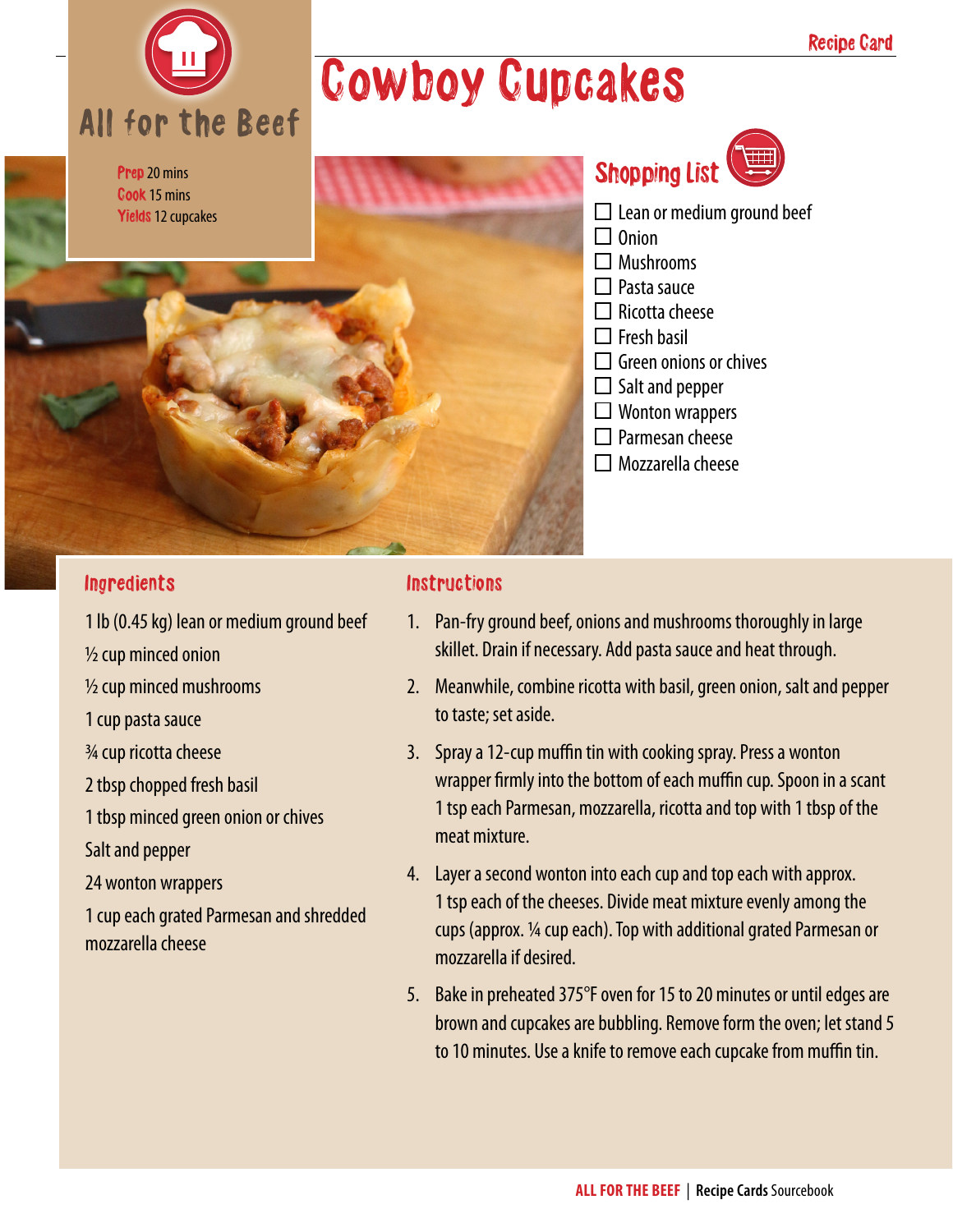

## Cowboy Cupcakes

| Prep 20 mins<br>Cook 15 mins<br>Yields 12 cupcakes |  |
|----------------------------------------------------|--|
|                                                    |  |
|                                                    |  |



- $\square$  Lean or medium ground beef
- $\Box$  Onion
- $\Box$  Mushrooms
- $\Box$  Pasta sauce
- $\Box$  Ricotta cheese
- $\Box$  Fresh basil
- $\Box$  Green onions or chives
- $\square$  Salt and pepper
- $\Box$  Wonton wrappers
- $\square$  Parmesan cheese
- $\Box$  Mozzarella cheese

#### **Ingredients**

1 lb (0.45 kg) lean or medium ground beef

½ cup minced onion

½ cup minced mushrooms

- 1 cup pasta sauce
- ¾ cup ricotta cheese

2 tbsp chopped fresh basil

1 tbsp minced green onion or chives

Salt and pepper

24 wonton wrappers

1 cup each grated Parmesan and shredded mozzarella cheese

#### **Instructions**

- 1. Pan-fry ground beef, onions and mushrooms thoroughly in large skillet. Drain if necessary. Add pasta sauce and heat through.
- 2. Meanwhile, combine ricotta with basil, green onion, salt and pepper to taste; set aside.
- 3. Spray a 12-cup muffin tin with cooking spray. Press a wonton wrapper firmly into the bottom of each muffin cup. Spoon in a scant 1 tsp each Parmesan, mozzarella, ricotta and top with 1 tbsp of the meat mixture.
- 4. Layer a second wonton into each cup and top each with approx. 1 tsp each of the cheeses. Divide meat mixture evenly among the cups (approx. 1/4 cup each). Top with additional grated Parmesan or mozzarella if desired.
- 5. Bake in preheated 375°F oven for 15 to 20 minutes or until edges are brown and cupcakes are bubbling. Remove form the oven; let stand 5 to 10 minutes. Use a knife to remove each cupcake from muffin tin.